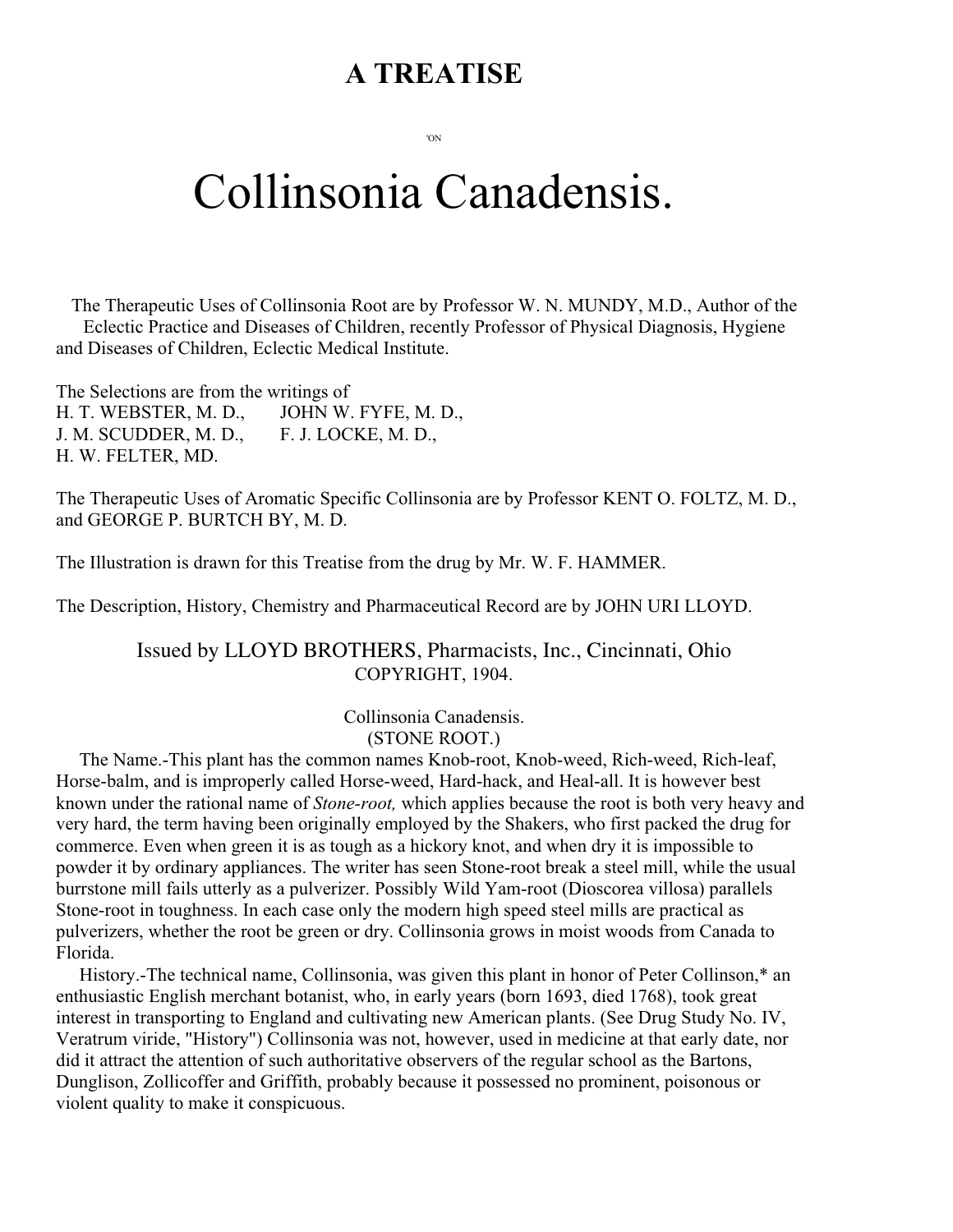# **A TREATISE**

'ON

# Collinsonia Canadensis.

The Therapeutic Uses of Collinsonia Root are by Professor W. N. MUNDY, M.D., Author of the Eclectic Practice and Diseases of Children, recently Professor of Physical Diagnosis, Hygiene and Diseases of Children, Eclectic Medical Institute.

The Selections are from the writings of H. T. WEBSTER, M. D., JOHN W. FYFE, M. D., J. M. SCUDDER, M. D., F. J. LOCKE, M. D., H. W. FELTER, MD.

The Therapeutic Uses of Aromatic Specific Collinsonia are by Professor KENT O. FOLTZ, M. D., and GEORGE P. BURTCH BY, M. D.

The Illustration is drawn for this Treatise from the drug by Mr. W. F. HAMMER.

The Description, History, Chemistry and Pharmaceutical Record are by JOHN URI LLOYD.

## Issued by LLOYD BROTHERS, Pharmacists, Inc., Cincinnati, Ohio COPYRIGHT, 1904.

Collinsonia Canadensis. (STONE ROOT.)

 The Name.-This plant has the common names Knob-root, Knob-weed, Rich-weed, Rich-leaf, Horse-balm, and is improperly called Horse-weed, Hard-hack, and Heal-all. It is however best known under the rational name of *Stone-root,* which applies because the root is both very heavy and very hard, the term having been originally employed by the Shakers, who first packed the drug for commerce. Even when green it is as tough as a hickory knot, and when dry it is impossible to powder it by ordinary appliances. The writer has seen Stone-root break a steel mill, while the usual burrstone mill fails utterly as a pulverizer. Possibly Wild Yam-root (Dioscorea villosa) parallels Stone-root in toughness. In each case only the modern high speed steel mills are practical as pulverizers, whether the root be green or dry. Collinsonia grows in moist woods from Canada to Florida.

 History.-The technical name, Collinsonia, was given this plant in honor of Peter Collinson,\* an enthusiastic English merchant botanist, who, in early years (born 1693, died 1768), took great interest in transporting to England and cultivating new American plants. (See Drug Study No. IV, Veratrum viride, "History") Collinsonia was not, however, used in medicine at that early date, nor did it attract the attention of such authoritative observers of the regular school as the Bartons, Dunglison, Zollicoffer and Griffith, probably because it possessed no prominent, poisonous or violent quality to make it conspicuous.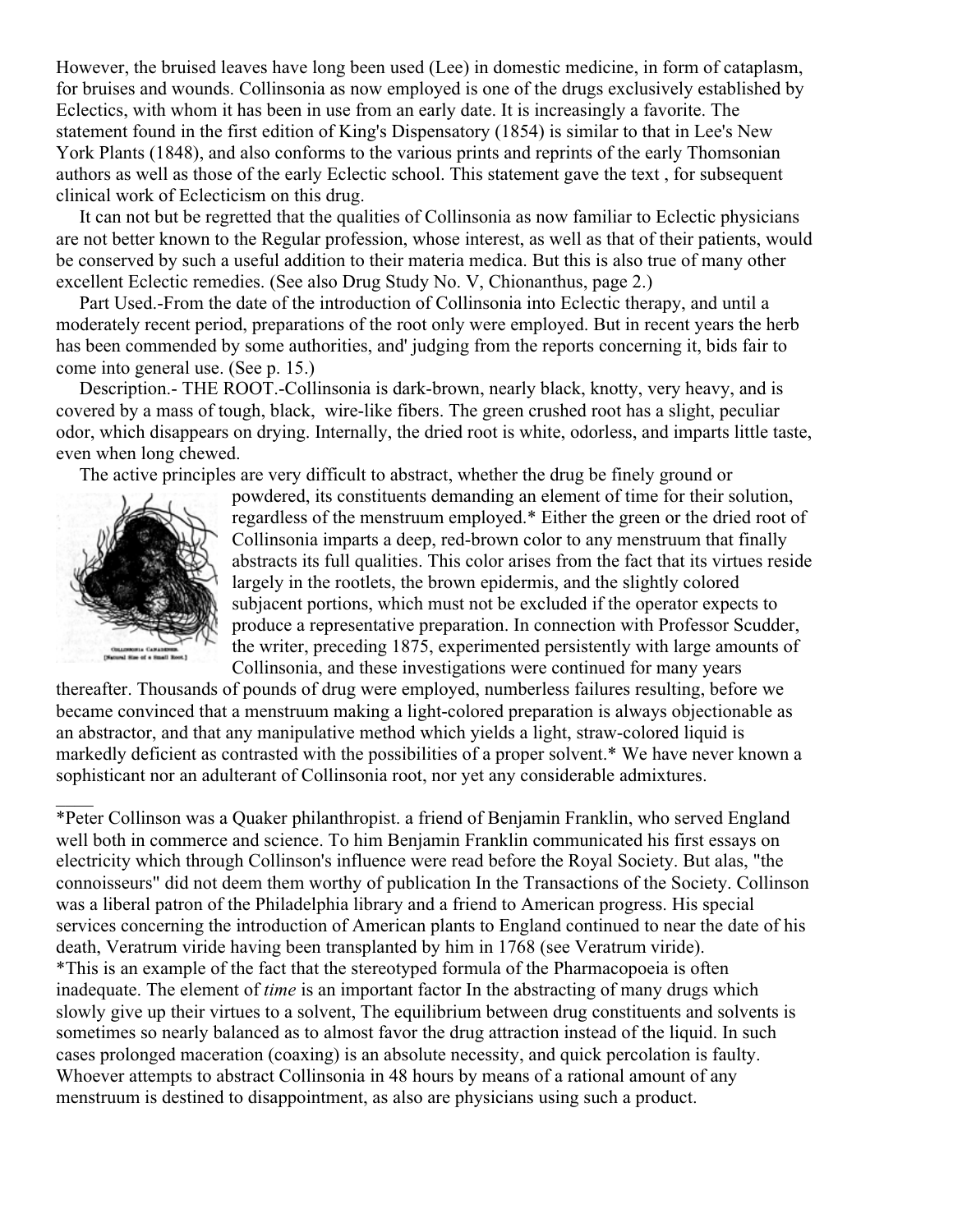However, the bruised leaves have long been used (Lee) in domestic medicine, in form of cataplasm, for bruises and wounds. Collinsonia as now employed is one of the drugs exclusively established by Eclectics, with whom it has been in use from an early date. It is increasingly a favorite. The statement found in the first edition of King's Dispensatory (1854) is similar to that in Lee's New York Plants (1848), and also conforms to the various prints and reprints of the early Thomsonian authors as well as those of the early Eclectic school. This statement gave the text , for subsequent clinical work of Eclecticism on this drug.

 It can not but be regretted that the qualities of Collinsonia as now familiar to Eclectic physicians are not better known to the Regular profession, whose interest, as well as that of their patients, would be conserved by such a useful addition to their materia medica. But this is also true of many other excellent Eclectic remedies. (See also Drug Study No. V, Chionanthus, page 2.)

 Part Used.-From the date of the introduction of Collinsonia into Eclectic therapy, and until a moderately recent period, preparations of the root only were employed. But in recent years the herb has been commended by some authorities, and' judging from the reports concerning it, bids fair to come into general use. (See p. 15.)

 Description.- THE ROOT.-Collinsonia is dark-brown, nearly black, knotty, very heavy, and is covered by a mass of tough, black, wire-like fibers. The green crushed root has a slight, peculiar odor, which disappears on drying. Internally, the dried root is white, odorless, and imparts little taste, even when long chewed.

The active principles are very difficult to abstract, whether the drug be finely ground or



 $\overline{\phantom{a}}$ 

powdered, its constituents demanding an element of time for their solution, regardless of the menstruum employed.\* Either the green or the dried root of Collinsonia imparts a deep, red-brown color to any menstruum that finally abstracts its full qualities. This color arises from the fact that its virtues reside largely in the rootlets, the brown epidermis, and the slightly colored subjacent portions, which must not be excluded if the operator expects to produce a representative preparation. In connection with Professor Scudder, the writer, preceding 1875, experimented persistently with large amounts of Collinsonia, and these investigations were continued for many years

thereafter. Thousands of pounds of drug were employed, numberless failures resulting, before we became convinced that a menstruum making a light-colored preparation is always objectionable as an abstractor, and that any manipulative method which yields a light, straw-colored liquid is markedly deficient as contrasted with the possibilities of a proper solvent.\* We have never known a sophisticant nor an adulterant of Collinsonia root, nor yet any considerable admixtures.

\*Peter Collinson was a Quaker philanthropist. a friend of Benjamin Franklin, who served England well both in commerce and science. To him Benjamin Franklin communicated his first essays on electricity which through Collinson's influence were read before the Royal Society. But alas, "the connoisseurs" did not deem them worthy of publication In the Transactions of the Society. Collinson was a liberal patron of the Philadelphia library and a friend to American progress. His special services concerning the introduction of American plants to England continued to near the date of his death, Veratrum viride having been transplanted by him in 1768 (see Veratrum viride). \*This is an example of the fact that the stereotyped formula of the Pharmacopoeia is often inadequate. The element of *time* is an important factor In the abstracting of many drugs which slowly give up their virtues to a solvent, The equilibrium between drug constituents and solvents is sometimes so nearly balanced as to almost favor the drug attraction instead of the liquid. In such cases prolonged maceration (coaxing) is an absolute necessity, and quick percolation is faulty. Whoever attempts to abstract Collinsonia in 48 hours by means of a rational amount of any menstruum is destined to disappointment, as also are physicians using such a product.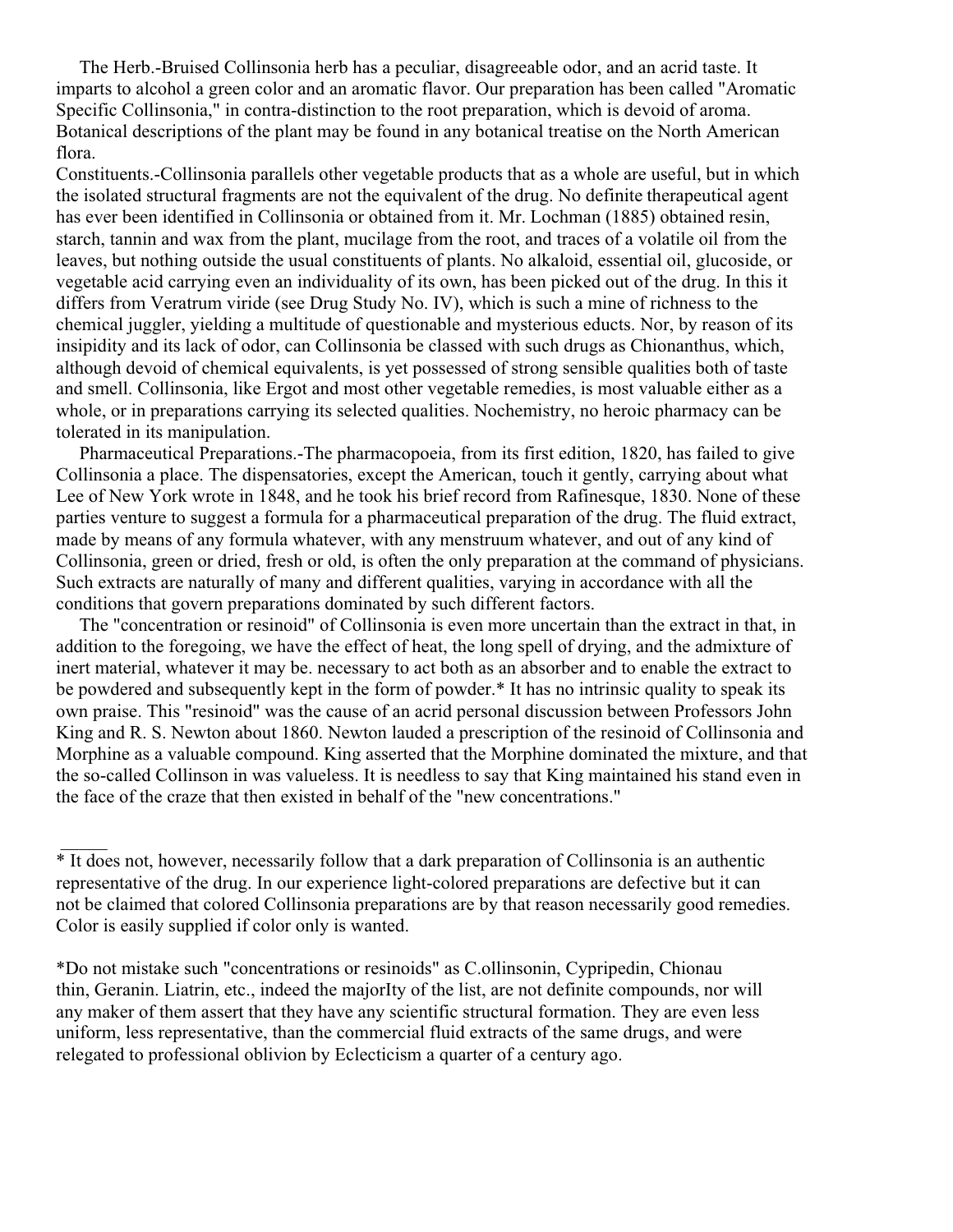The Herb.-Bruised Collinsonia herb has a peculiar, disagreeable odor, and an acrid taste. It imparts to alcohol a green color and an aromatic flavor. Our preparation has been called "Aromatic Specific Collinsonia," in contra-distinction to the root preparation, which is devoid of aroma. Botanical descriptions of the plant may be found in any botanical treatise on the North American flora.

Constituents.-Collinsonia parallels other vegetable products that as a whole are useful, but in which the isolated structural fragments are not the equivalent of the drug. No definite therapeutical agent has ever been identified in Collinsonia or obtained from it. Mr. Lochman (1885) obtained resin, starch, tannin and wax from the plant, mucilage from the root, and traces of a volatile oil from the leaves, but nothing outside the usual constituents of plants. No alkaloid, essential oil, glucoside, or vegetable acid carrying even an individuality of its own, has been picked out of the drug. In this it differs from Veratrum viride (see Drug Study No. IV), which is such a mine of richness to the chemical juggler, yielding a multitude of questionable and mysterious educts. Nor, by reason of its insipidity and its lack of odor, can Collinsonia be classed with such drugs as Chionanthus, which, although devoid of chemical equivalents, is yet possessed of strong sensible qualities both of taste and smell. Collinsonia, like Ergot and most other vegetable remedies, is most valuable either as a whole, or in preparations carrying its selected qualities. Nochemistry, no heroic pharmacy can be tolerated in its manipulation.

 Pharmaceutical Preparations.-The pharmacopoeia, from its first edition, 1820, has failed to give Collinsonia a place. The dispensatories, except the American, touch it gently, carrying about what Lee of New York wrote in 1848, and he took his brief record from Rafinesque, 1830. None of these parties venture to suggest a formula for a pharmaceutical preparation of the drug. The fluid extract, made by means of any formula whatever, with any menstruum whatever, and out of any kind of Collinsonia, green or dried, fresh or old, is often the only preparation at the command of physicians. Such extracts are naturally of many and different qualities, varying in accordance with all the conditions that govern preparations dominated by such different factors.

 The "concentration or resinoid" of Collinsonia is even more uncertain than the extract in that, in addition to the foregoing, we have the effect of heat, the long spell of drying, and the admixture of inert material, whatever it may be. necessary to act both as an absorber and to enable the extract to be powdered and subsequently kept in the form of powder.\* It has no intrinsic quality to speak its own praise. This "resinoid" was the cause of an acrid personal discussion between Professors John King and R. S. Newton about 1860. Newton lauded a prescription of the resinoid of Collinsonia and Morphine as a valuable compound. King asserted that the Morphine dominated the mixture, and that the so-called Collinson in was valueless. It is needless to say that King maintained his stand even in the face of the craze that then existed in behalf of the "new concentrations."

\* It does not, however, necessarily follow that a dark preparation of Collinsonia is an authentic representative of the drug. In our experience light-colored preparations are defective but it can not be claimed that colored Collinsonia preparations are by that reason necessarily good remedies. Color is easily supplied if color only is wanted.

 $\frac{1}{2}$ 

\*Do not mistake such "concentrations or resinoids" as C.ollinsonin, Cypripedin, Chionau thin, Geranin. Liatrin, etc., indeed the majorIty of the list, are not definite compounds, nor will any maker of them assert that they have any scientific structural formation. They are even less uniform, less representative, than the commercial fluid extracts of the same drugs, and were relegated to professional oblivion by Eclecticism a quarter of a century ago.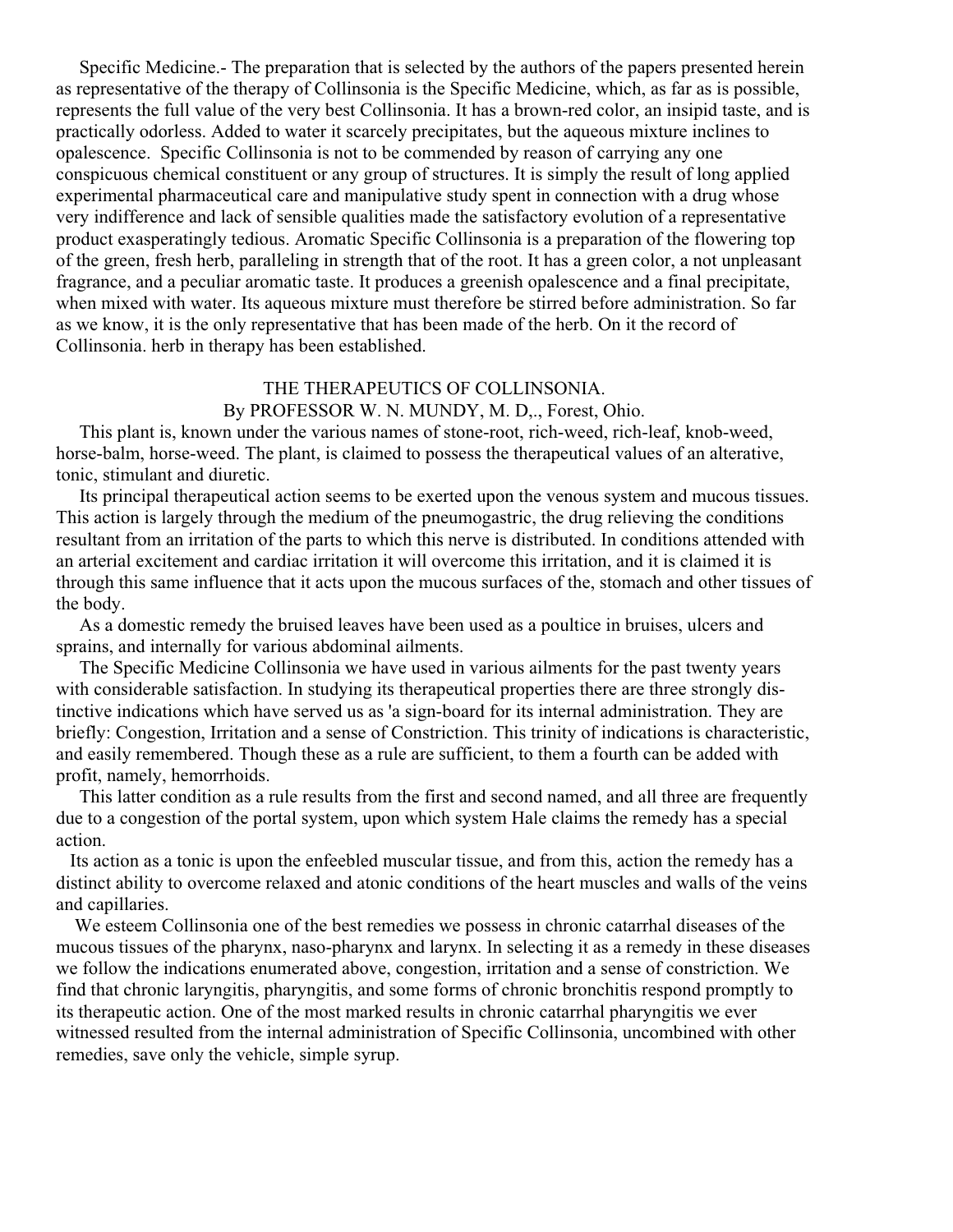Specific Medicine.- The preparation that is selected by the authors of the papers presented herein as representative of the therapy of Collinsonia is the Specific Medicine, which, as far as is possible, represents the full value of the very best Collinsonia. It has a brown-red color, an insipid taste, and is practically odorless. Added to water it scarcely precipitates, but the aqueous mixture inclines to opalescence. Specific Collinsonia is not to be commended by reason of carrying any one conspicuous chemical constituent or any group of structures. It is simply the result of long applied experimental pharmaceutical care and manipulative study spent in connection with a drug whose very indifference and lack of sensible qualities made the satisfactory evolution of a representative product exasperatingly tedious. Aromatic Specific Collinsonia is a preparation of the flowering top of the green, fresh herb, paralleling in strength that of the root. It has a green color, a not unpleasant fragrance, and a peculiar aromatic taste. It produces a greenish opalescence and a final precipitate, when mixed with water. Its aqueous mixture must therefore be stirred before administration. So far as we know, it is the only representative that has been made of the herb. On it the record of Collinsonia. herb in therapy has been established.

#### THE THERAPEUTICS OF COLLINSONIA. By PROFESSOR W. N. MUNDY, M. D., Forest, Ohio.

 This plant is, known under the various names of stone-root, rich-weed, rich-leaf, knob-weed, horse-balm, horse-weed. The plant, is claimed to possess the therapeutical values of an alterative, tonic, stimulant and diuretic.

 Its principal therapeutical action seems to be exerted upon the venous system and mucous tissues. This action is largely through the medium of the pneumogastric, the drug relieving the conditions resultant from an irritation of the parts to which this nerve is distributed. In conditions attended with an arterial excitement and cardiac irritation it will overcome this irritation, and it is claimed it is through this same influence that it acts upon the mucous surfaces of the, stomach and other tissues of the body.

 As a domestic remedy the bruised leaves have been used as a poultice in bruises, ulcers and sprains, and internally for various abdominal ailments.

 The Specific Medicine Collinsonia we have used in various ailments for the past twenty years with considerable satisfaction. In studying its therapeutical properties there are three strongly distinctive indications which have served us as 'a sign-board for its internal administration. They are briefly: Congestion, Irritation and a sense of Constriction. This trinity of indications is characteristic, and easily remembered. Though these as a rule are sufficient, to them a fourth can be added with profit, namely, hemorrhoids.

 This latter condition as a rule results from the first and second named, and all three are frequently due to a congestion of the portal system, upon which system Hale claims the remedy has a special action.

 Its action as a tonic is upon the enfeebled muscular tissue, and from this, action the remedy has a distinct ability to overcome relaxed and atonic conditions of the heart muscles and walls of the veins and capillaries.

 We esteem Collinsonia one of the best remedies we possess in chronic catarrhal diseases of the mucous tissues of the pharynx, naso-pharynx and larynx. In selecting it as a remedy in these diseases we follow the indications enumerated above, congestion, irritation and a sense of constriction. We find that chronic laryngitis, pharyngitis, and some forms of chronic bronchitis respond promptly to its therapeutic action. One of the most marked results in chronic catarrhal pharyngitis we ever witnessed resulted from the internal administration of Specific Collinsonia, uncombined with other remedies, save only the vehicle, simple syrup.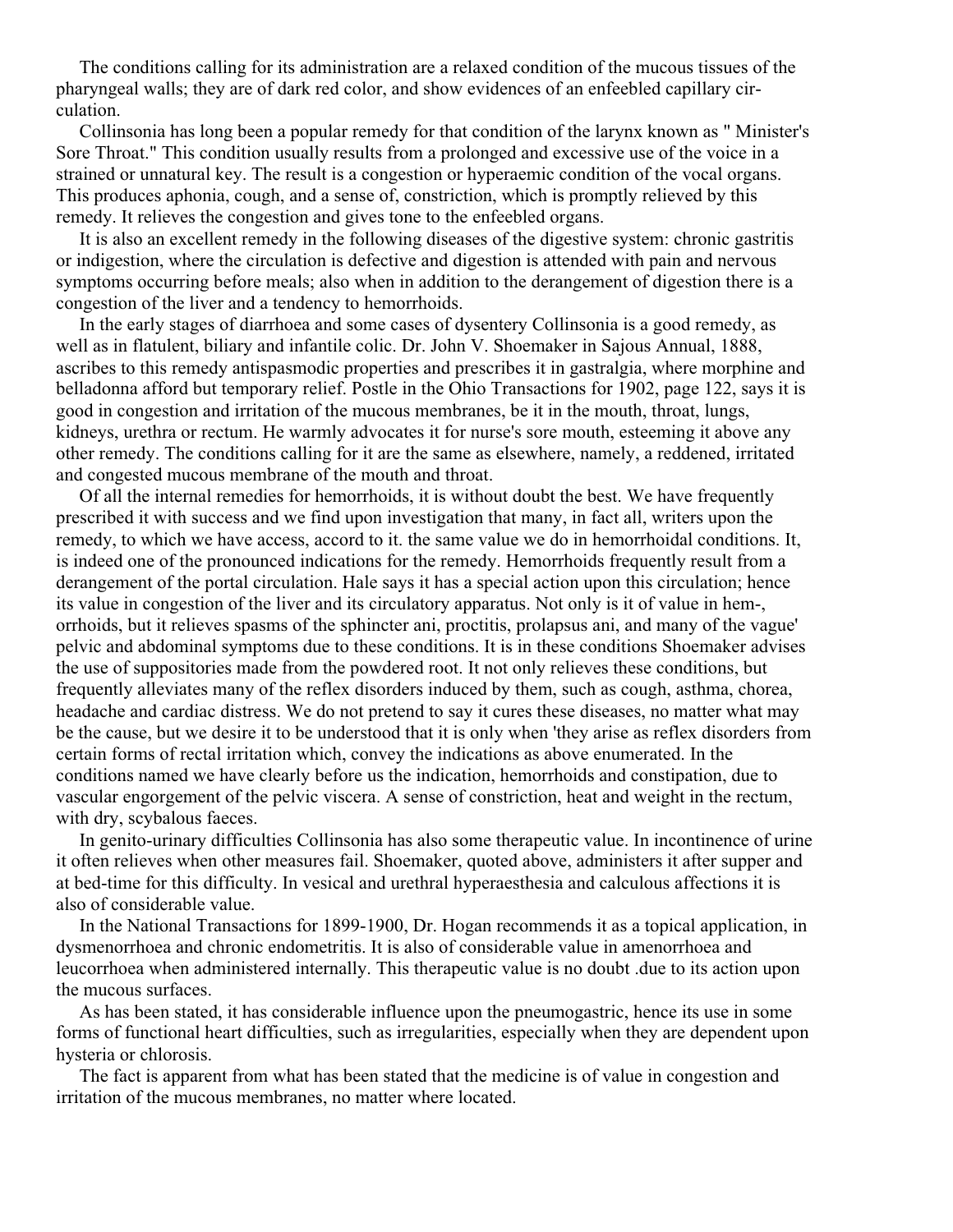The conditions calling for its administration are a relaxed condition of the mucous tissues of the pharyngeal walls; they are of dark red color, and show evidences of an enfeebled capillary circulation.

 Collinsonia has long been a popular remedy for that condition of the larynx known as " Minister's Sore Throat." This condition usually results from a prolonged and excessive use of the voice in a strained or unnatural key. The result is a congestion or hyperaemic condition of the vocal organs. This produces aphonia, cough, and a sense of, constriction, which is promptly relieved by this remedy. It relieves the congestion and gives tone to the enfeebled organs.

 It is also an excellent remedy in the following diseases of the digestive system: chronic gastritis or indigestion, where the circulation is defective and digestion is attended with pain and nervous symptoms occurring before meals; also when in addition to the derangement of digestion there is a congestion of the liver and a tendency to hemorrhoids.

 In the early stages of diarrhoea and some cases of dysentery Collinsonia is a good remedy, as well as in flatulent, biliary and infantile colic. Dr. John V. Shoemaker in Sajous Annual, 1888, ascribes to this remedy antispasmodic properties and prescribes it in gastralgia, where morphine and belladonna afford but temporary relief. Postle in the Ohio Transactions for 1902, page 122, says it is good in congestion and irritation of the mucous membranes, be it in the mouth, throat, lungs, kidneys, urethra or rectum. He warmly advocates it for nurse's sore mouth, esteeming it above any other remedy. The conditions calling for it are the same as elsewhere, namely, a reddened, irritated and congested mucous membrane of the mouth and throat.

 Of all the internal remedies for hemorrhoids, it is without doubt the best. We have frequently prescribed it with success and we find upon investigation that many, in fact all, writers upon the remedy, to which we have access, accord to it. the same value we do in hemorrhoidal conditions. It, is indeed one of the pronounced indications for the remedy. Hemorrhoids frequently result from a derangement of the portal circulation. Hale says it has a special action upon this circulation; hence its value in congestion of the liver and its circulatory apparatus. Not only is it of value in hem-, orrhoids, but it relieves spasms of the sphincter ani, proctitis, prolapsus ani, and many of the vague' pelvic and abdominal symptoms due to these conditions. It is in these conditions Shoemaker advises the use of suppositories made from the powdered root. It not only relieves these conditions, but frequently alleviates many of the reflex disorders induced by them, such as cough, asthma, chorea, headache and cardiac distress. We do not pretend to say it cures these diseases, no matter what may be the cause, but we desire it to be understood that it is only when 'they arise as reflex disorders from certain forms of rectal irritation which, convey the indications as above enumerated. In the conditions named we have clearly before us the indication, hemorrhoids and constipation, due to vascular engorgement of the pelvic viscera. A sense of constriction, heat and weight in the rectum, with dry, scybalous faeces.

 In genito-urinary difficulties Collinsonia has also some therapeutic value. In incontinence of urine it often relieves when other measures fail. Shoemaker, quoted above, administers it after supper and at bed-time for this difficulty. In vesical and urethral hyperaesthesia and calculous affections it is also of considerable value.

 In the National Transactions for 1899-1900, Dr. Hogan recommends it as a topical application, in dysmenorrhoea and chronic endometritis. It is also of considerable value in amenorrhoea and leucorrhoea when administered internally. This therapeutic value is no doubt .due to its action upon the mucous surfaces.

 As has been stated, it has considerable influence upon the pneumogastric, hence its use in some forms of functional heart difficulties, such as irregularities, especially when they are dependent upon hysteria or chlorosis.

 The fact is apparent from what has been stated that the medicine is of value in congestion and irritation of the mucous membranes, no matter where located.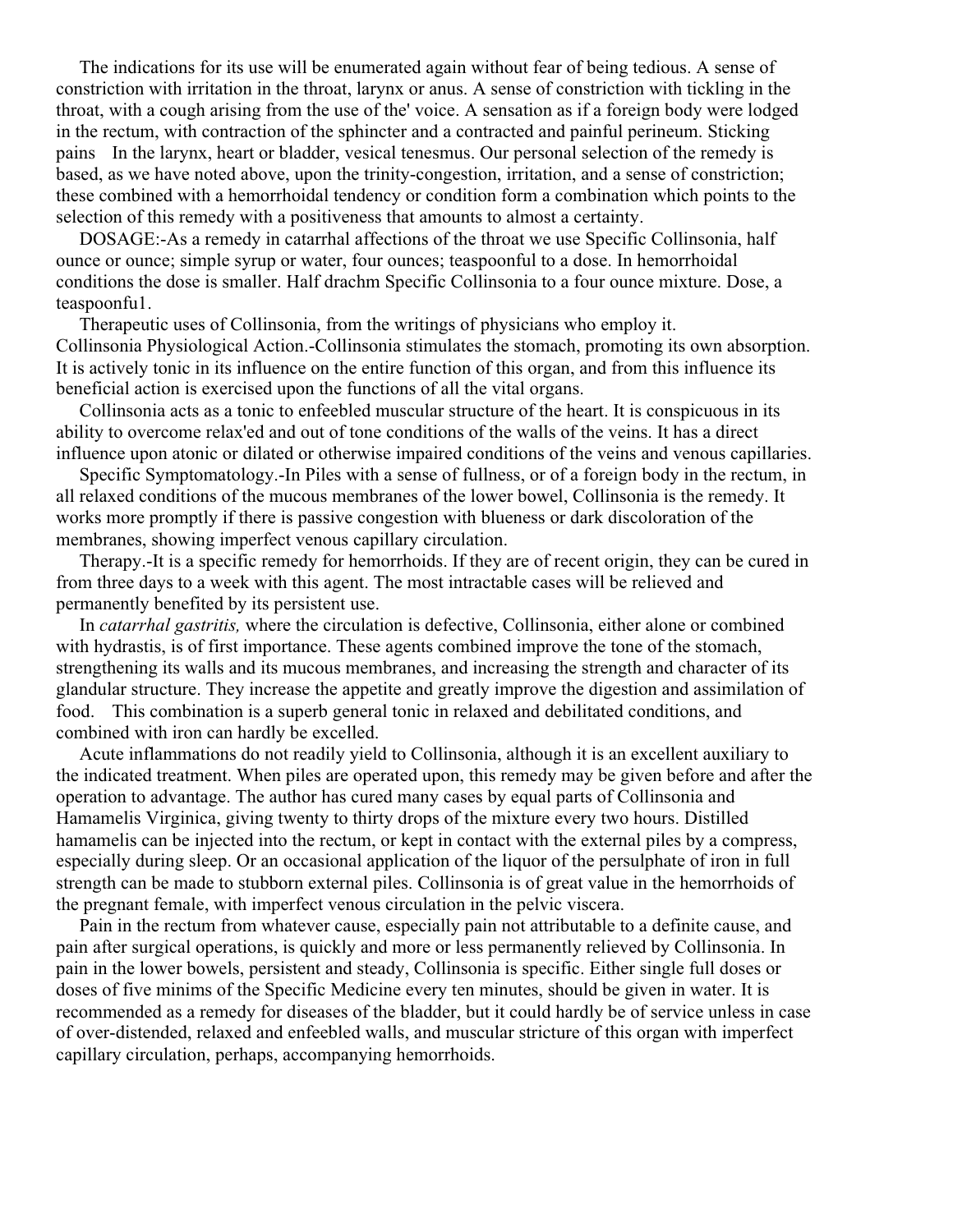The indications for its use will be enumerated again without fear of being tedious. A sense of constriction with irritation in the throat, larynx or anus. A sense of constriction with tickling in the throat, with a cough arising from the use of the' voice. A sensation as if a foreign body were lodged in the rectum, with contraction of the sphincter and a contracted and painful perineum. Sticking pains In the larynx, heart or bladder, vesical tenesmus. Our personal selection of the remedy is based, as we have noted above, upon the trinity-congestion, irritation, and a sense of constriction; these combined with a hemorrhoidal tendency or condition form a combination which points to the selection of this remedy with a positiveness that amounts to almost a certainty.

 DOSAGE:-As a remedy in catarrhal affections of the throat we use Specific Collinsonia, half ounce or ounce; simple syrup or water, four ounces; teaspoonful to a dose. In hemorrhoidal conditions the dose is smaller. Half drachm Specific Collinsonia to a four ounce mixture. Dose, a teaspoonfu1.

 Therapeutic uses of Collinsonia, from the writings of physicians who employ it. Collinsonia Physiological Action.-Collinsonia stimulates the stomach, promoting its own absorption. It is actively tonic in its influence on the entire function of this organ, and from this influence its beneficial action is exercised upon the functions of all the vital organs.

 Collinsonia acts as a tonic to enfeebled muscular structure of the heart. It is conspicuous in its ability to overcome relax'ed and out of tone conditions of the walls of the veins. It has a direct influence upon atonic or dilated or otherwise impaired conditions of the veins and venous capillaries.

 Specific Symptomatology.-In Piles with a sense of fullness, or of a foreign body in the rectum, in all relaxed conditions of the mucous membranes of the lower bowel, Collinsonia is the remedy. It works more promptly if there is passive congestion with blueness or dark discoloration of the membranes, showing imperfect venous capillary circulation.

 Therapy.-It is a specific remedy for hemorrhoids. If they are of recent origin, they can be cured in from three days to a week with this agent. The most intractable cases will be relieved and permanently benefited by its persistent use.

 In *catarrhal gastritis,* where the circulation is defective, Collinsonia, either alone or combined with hydrastis, is of first importance. These agents combined improve the tone of the stomach, strengthening its walls and its mucous membranes, and increasing the strength and character of its glandular structure. They increase the appetite and greatly improve the digestion and assimilation of food. This combination is a superb general tonic in relaxed and debilitated conditions, and combined with iron can hardly be excelled.

 Acute inflammations do not readily yield to Collinsonia, although it is an excellent auxiliary to the indicated treatment. When piles are operated upon, this remedy may be given before and after the operation to advantage. The author has cured many cases by equal parts of Collinsonia and Hamamelis Virginica, giving twenty to thirty drops of the mixture every two hours. Distilled hamamelis can be injected into the rectum, or kept in contact with the external piles by a compress, especially during sleep. Or an occasional application of the liquor of the persulphate of iron in full strength can be made to stubborn external piles. Collinsonia is of great value in the hemorrhoids of the pregnant female, with imperfect venous circulation in the pelvic viscera.

 Pain in the rectum from whatever cause, especially pain not attributable to a definite cause, and pain after surgical operations, is quickly and more or less permanently relieved by Collinsonia. In pain in the lower bowels, persistent and steady, Collinsonia is specific. Either single full doses or doses of five minims of the Specific Medicine every ten minutes, should be given in water. It is recommended as a remedy for diseases of the bladder, but it could hardly be of service unless in case of over-distended, relaxed and enfeebled walls, and muscular stricture of this organ with imperfect capillary circulation, perhaps, accompanying hemorrhoids.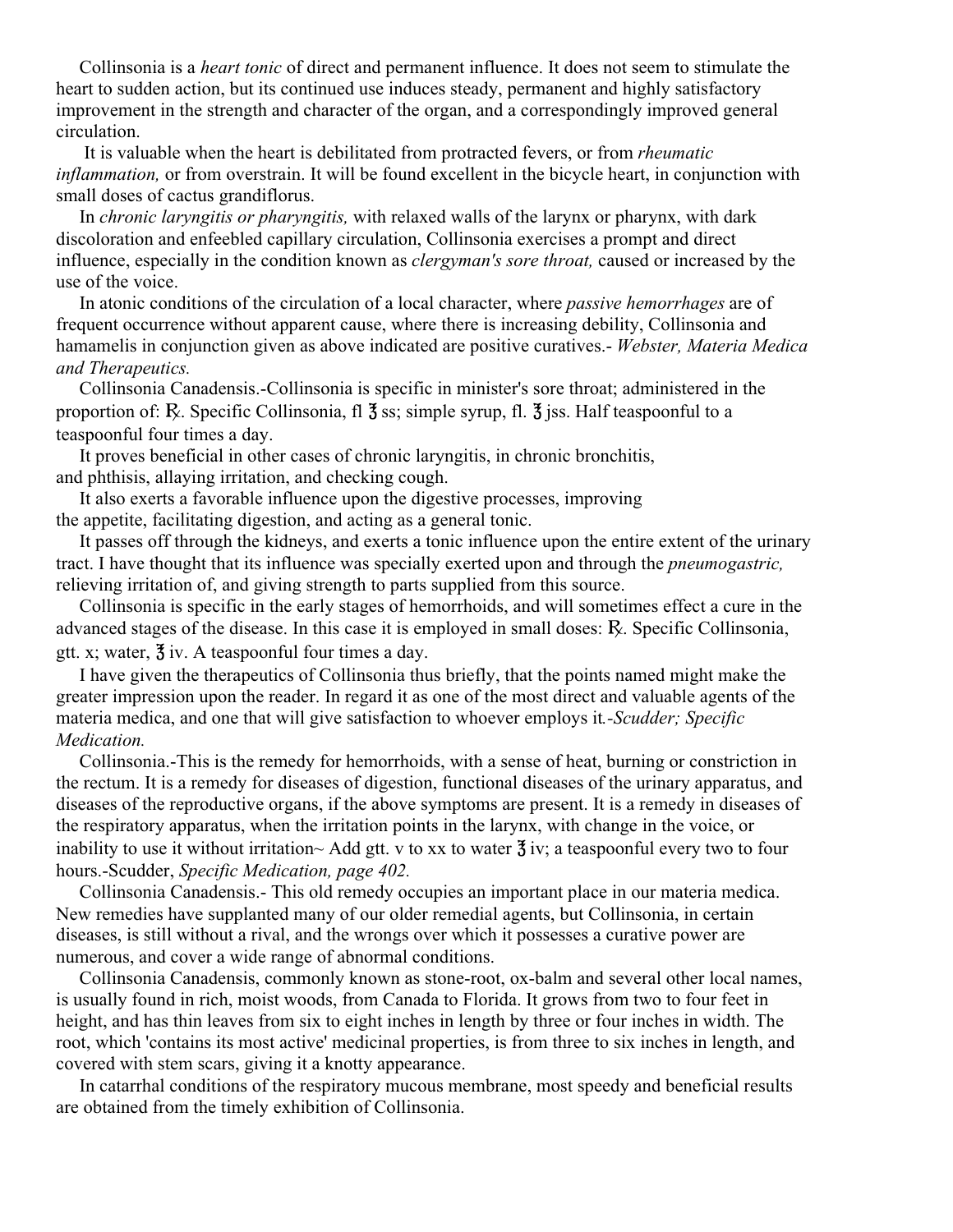Collinsonia is a *heart tonic* of direct and permanent influence. It does not seem to stimulate the heart to sudden action, but its continued use induces steady, permanent and highly satisfactory improvement in the strength and character of the organ, and a correspondingly improved general circulation.

 It is valuable when the heart is debilitated from protracted fevers, or from *rheumatic inflammation,* or from overstrain. It will be found excellent in the bicycle heart, in conjunction with small doses of cactus grandiflorus.

 In *chronic laryngitis or pharyngitis,* with relaxed walls of the larynx or pharynx, with dark discoloration and enfeebled capillary circulation, Collinsonia exercises a prompt and direct influence, especially in the condition known as *clergyman's sore throat,* caused or increased by the use of the voice.

 In atonic conditions of the circulation of a local character, where *passive hemorrhages* are of frequent occurrence without apparent cause, where there is increasing debility, Collinsonia and hamamelis in conjunction given as above indicated are positive curatives.- *Webster, Materia Medica and Therapeutics.*

 Collinsonia Canadensis.-Collinsonia is specific in minister's sore throat; administered in the proportion of: R. Specific Collinsonia, fl  $\frac{4}{3}$  ss; simple syrup, fl.  $\frac{4}{3}$  iss. Half teaspoonful to a teaspoonful four times a day.

 It proves beneficial in other cases of chronic laryngitis, in chronic bronchitis, and phthisis, allaying irritation, and checking cough.

 It also exerts a favorable influence upon the digestive processes, improving the appetite, facilitating digestion, and acting as a general tonic.

 It passes off through the kidneys, and exerts a tonic influence upon the entire extent of the urinary tract. I have thought that its influence was specially exerted upon and through the *pneumogastric,* relieving irritation of, and giving strength to parts supplied from this source.

 Collinsonia is specific in the early stages of hemorrhoids, and will sometimes effect a cure in the advanced stages of the disease. In this case it is employed in small doses: A. Specific Collinsonia, gtt. x; water,  $\frac{3}{3}$  iv. A teaspoonful four times a day.

 I have given the therapeutics of Collinsonia thus briefly, that the points named might make the greater impression upon the reader. In regard it as one of the most direct and valuable agents of the materia medica, and one that will give satisfaction to whoever employs it*.-Scudder; Specific Medication.*

 Collinsonia.-This is the remedy for hemorrhoids, with a sense of heat, burning or constriction in the rectum. It is a remedy for diseases of digestion, functional diseases of the urinary apparatus, and diseases of the reproductive organs, if the above symptoms are present. It is a remedy in diseases of the respiratory apparatus, when the irritation points in the larynx, with change in the voice, or inability to use it without irritation~ Add gtt. v to xx to water  $\frac{3}{2}$  iv; a teaspoonful every two to four hours.-Scudder, *Specific Medication, page 402.*

 Collinsonia Canadensis.- This old remedy occupies an important place in our materia medica. New remedies have supplanted many of our older remedial agents, but Collinsonia, in certain diseases, is still without a rival, and the wrongs over which it possesses a curative power are numerous, and cover a wide range of abnormal conditions.

 Collinsonia Canadensis, commonly known as stone-root, ox-balm and several other local names, is usually found in rich, moist woods, from Canada to Florida. It grows from two to four feet in height, and has thin leaves from six to eight inches in length by three or four inches in width. The root, which 'contains its most active' medicinal properties, is from three to six inches in length, and covered with stem scars, giving it a knotty appearance.

 In catarrhal conditions of the respiratory mucous membrane, most speedy and beneficial results are obtained from the timely exhibition of Collinsonia.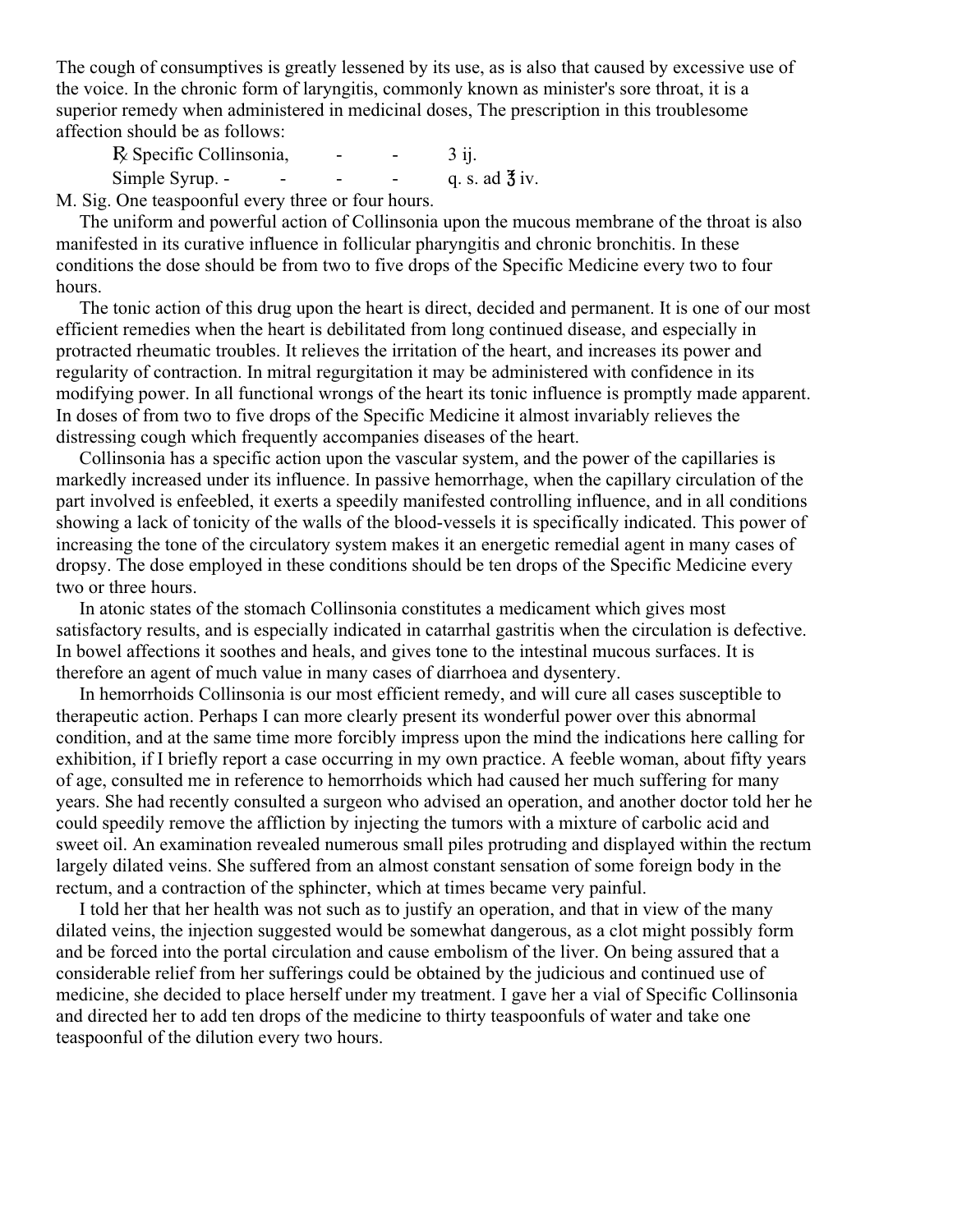The cough of consumptives is greatly lessened by its use, as is also that caused by excessive use of the voice. In the chronic form of laryngitis, commonly known as minister's sore throat, it is a superior remedy when administered in medicinal doses, The prescription in this troublesome affection should be as follows:

 $R\xi$  Specific Collinsonia,  $\qquad - \qquad$  3 ij. Simple Syrup. -  $\qquad$  -  $\qquad$  -  $\qquad$  -  $\qquad$  q. s. ad  $\frac{3}{2}$  iv.

M. Sig. One teaspoonful every three or four hours.

 The uniform and powerful action of Collinsonia upon the mucous membrane of the throat is also manifested in its curative influence in follicular pharyngitis and chronic bronchitis. In these conditions the dose should be from two to five drops of the Specific Medicine every two to four hours.

 The tonic action of this drug upon the heart is direct, decided and permanent. It is one of our most efficient remedies when the heart is debilitated from long continued disease, and especially in protracted rheumatic troubles. It relieves the irritation of the heart, and increases its power and regularity of contraction. In mitral regurgitation it may be administered with confidence in its modifying power. In all functional wrongs of the heart its tonic influence is promptly made apparent. In doses of from two to five drops of the Specific Medicine it almost invariably relieves the distressing cough which frequently accompanies diseases of the heart.

 Collinsonia has a specific action upon the vascular system, and the power of the capillaries is markedly increased under its influence. In passive hemorrhage, when the capillary circulation of the part involved is enfeebled, it exerts a speedily manifested controlling influence, and in all conditions showing a lack of tonicity of the walls of the blood-vessels it is specifically indicated. This power of increasing the tone of the circulatory system makes it an energetic remedial agent in many cases of dropsy. The dose employed in these conditions should be ten drops of the Specific Medicine every two or three hours.

 In atonic states of the stomach Collinsonia constitutes a medicament which gives most satisfactory results, and is especially indicated in catarrhal gastritis when the circulation is defective. In bowel affections it soothes and heals, and gives tone to the intestinal mucous surfaces. It is therefore an agent of much value in many cases of diarrhoea and dysentery.

 In hemorrhoids Collinsonia is our most efficient remedy, and will cure all cases susceptible to therapeutic action. Perhaps I can more clearly present its wonderful power over this abnormal condition, and at the same time more forcibly impress upon the mind the indications here calling for exhibition, if I briefly report a case occurring in my own practice. A feeble woman, about fifty years of age, consulted me in reference to hemorrhoids which had caused her much suffering for many years. She had recently consulted a surgeon who advised an operation, and another doctor told her he could speedily remove the affliction by injecting the tumors with a mixture of carbolic acid and sweet oil. An examination revealed numerous small piles protruding and displayed within the rectum largely dilated veins. She suffered from an almost constant sensation of some foreign body in the rectum, and a contraction of the sphincter, which at times became very painful.

 I told her that her health was not such as to justify an operation, and that in view of the many dilated veins, the injection suggested would be somewhat dangerous, as a clot might possibly form and be forced into the portal circulation and cause embolism of the liver. On being assured that a considerable relief from her sufferings could be obtained by the judicious and continued use of medicine, she decided to place herself under my treatment. I gave her a vial of Specific Collinsonia and directed her to add ten drops of the medicine to thirty teaspoonfuls of water and take one teaspoonful of the dilution every two hours.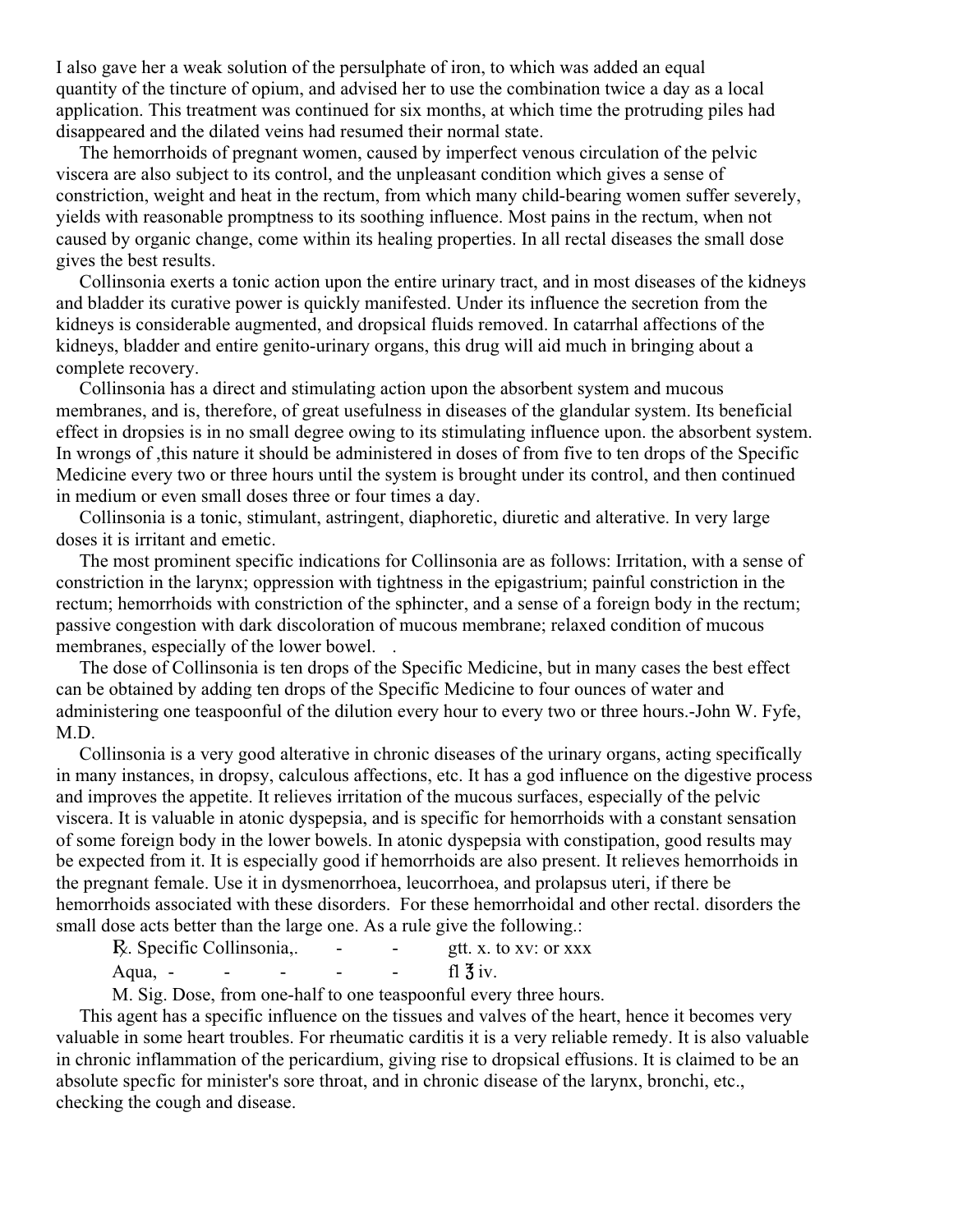I also gave her a weak solution of the persulphate of iron, to which was added an equal quantity of the tincture of opium, and advised her to use the combination twice a day as a local application. This treatment was continued for six months, at which time the protruding piles had disappeared and the dilated veins had resumed their normal state.

 The hemorrhoids of pregnant women, caused by imperfect venous circulation of the pelvic viscera are also subject to its control, and the unpleasant condition which gives a sense of constriction, weight and heat in the rectum, from which many child-bearing women suffer severely, yields with reasonable promptness to its soothing influence. Most pains in the rectum, when not caused by organic change, come within its healing properties. In all rectal diseases the small dose gives the best results.

 Collinsonia exerts a tonic action upon the entire urinary tract, and in most diseases of the kidneys and bladder its curative power is quickly manifested. Under its influence the secretion from the kidneys is considerable augmented, and dropsical fluids removed. In catarrhal affections of the kidneys, bladder and entire genito-urinary organs, this drug will aid much in bringing about a complete recovery.

 Collinsonia has a direct and stimulating action upon the absorbent system and mucous membranes, and is, therefore, of great usefulness in diseases of the glandular system. Its beneficial effect in dropsies is in no small degree owing to its stimulating influence upon. the absorbent system. In wrongs of ,this nature it should be administered in doses of from five to ten drops of the Specific Medicine every two or three hours until the system is brought under its control, and then continued in medium or even small doses three or four times a day.

 Collinsonia is a tonic, stimulant, astringent, diaphoretic, diuretic and alterative. In very large doses it is irritant and emetic.

 The most prominent specific indications for Collinsonia are as follows: Irritation, with a sense of constriction in the larynx; oppression with tightness in the epigastrium; painful constriction in the rectum; hemorrhoids with constriction of the sphincter, and a sense of a foreign body in the rectum; passive congestion with dark discoloration of mucous membrane; relaxed condition of mucous membranes, especially of the lower bowel...

 The dose of Collinsonia is ten drops of the Specific Medicine, but in many cases the best effect can be obtained by adding ten drops of the Specific Medicine to four ounces of water and administering one teaspoonful of the dilution every hour to every two or three hours.-John W. Fyfe, M.D.

 Collinsonia is a very good alterative in chronic diseases of the urinary organs, acting specifically in many instances, in dropsy, calculous affections, etc. It has a god influence on the digestive process and improves the appetite. It relieves irritation of the mucous surfaces, especially of the pelvic viscera. It is valuable in atonic dyspepsia, and is specific for hemorrhoids with a constant sensation of some foreign body in the lower bowels. In atonic dyspepsia with constipation, good results may be expected from it. It is especially good if hemorrhoids are also present. It relieves hemorrhoids in the pregnant female. Use it in dysmenorrhoea, leucorrhoea, and prolapsus uteri, if there be hemorrhoids associated with these disorders. For these hemorrhoidal and other rectal. disorders the small dose acts better than the large one. As a rule give the following.:

| R. Specific Collinsonia,. | $\overline{\phantom{0}}$ | gtt. x. to xv: or xxx |  |
|---------------------------|--------------------------|-----------------------|--|
| Aqua, -                   |                          | fl $\overline{3}$ iv. |  |

M. Sig. Dose, from one-half to one teaspoonful every three hours.

 This agent has a specific influence on the tissues and valves of the heart, hence it becomes very valuable in some heart troubles. For rheumatic carditis it is a very reliable remedy. It is also valuable in chronic inflammation of the pericardium, giving rise to dropsical effusions. It is claimed to be an absolute specfic for minister's sore throat, and in chronic disease of the larynx, bronchi, etc., checking the cough and disease.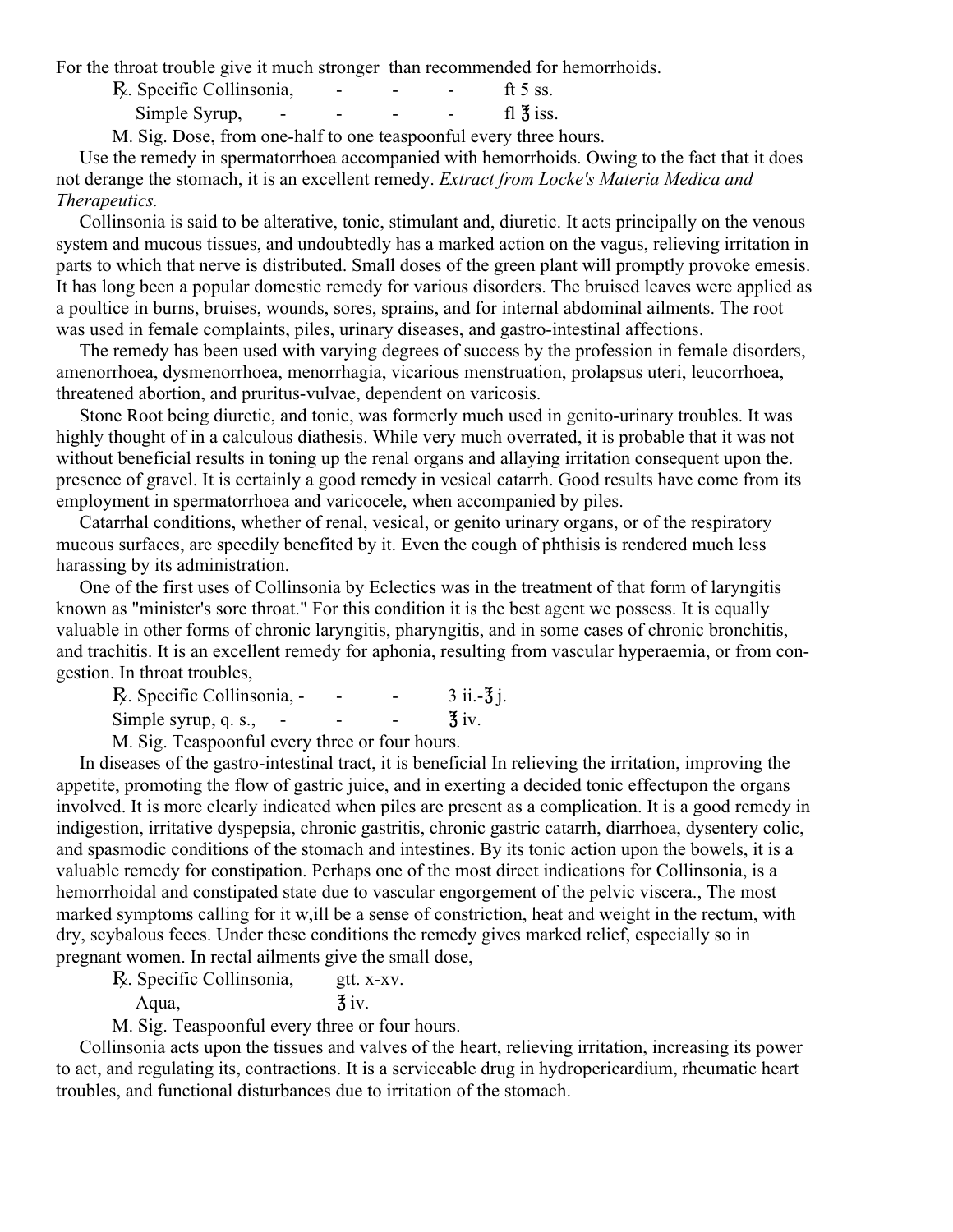For the throat trouble give it much stronger than recommended for hemorrhoids.

| R. Specific Collinsonia, | - | - | - | ft 5 ss.               |
|--------------------------|---|---|---|------------------------|
| Simple Syrup,<br>-       | - | - |   | fl $\overline{3}$ iss. |

M. Sig. Dose, from one-half to one teaspoonful every three hours.

 Use the remedy in spermatorrhoea accompanied with hemorrhoids. Owing to the fact that it does not derange the stomach, it is an excellent remedy. *Extract from Locke's Materia Medica and Therapeutics.*

 Collinsonia is said to be alterative, tonic, stimulant and, diuretic. It acts principally on the venous system and mucous tissues, and undoubtedly has a marked action on the vagus, relieving irritation in parts to which that nerve is distributed. Small doses of the green plant will promptly provoke emesis. It has long been a popular domestic remedy for various disorders. The bruised leaves were applied as a poultice in burns, bruises, wounds, sores, sprains, and for internal abdominal ailments. The root was used in female complaints, piles, urinary diseases, and gastro-intestinal affections.

 The remedy has been used with varying degrees of success by the profession in female disorders, amenorrhoea, dysmenorrhoea, menorrhagia, vicarious menstruation, prolapsus uteri, leucorrhoea, threatened abortion, and pruritus-vulvae, dependent on varicosis.

 Stone Root being diuretic, and tonic, was formerly much used in genito-urinary troubles. It was highly thought of in a calculous diathesis. While very much overrated, it is probable that it was not without beneficial results in toning up the renal organs and allaying irritation consequent upon the. presence of gravel. It is certainly a good remedy in vesical catarrh. Good results have come from its employment in spermatorrhoea and varicocele, when accompanied by piles.

 Catarrhal conditions, whether of renal, vesical, or genito urinary organs, or of the respiratory mucous surfaces, are speedily benefited by it. Even the cough of phthisis is rendered much less harassing by its administration.

 One of the first uses of Collinsonia by Eclectics was in the treatment of that form of laryngitis known as "minister's sore throat." For this condition it is the best agent we possess. It is equally valuable in other forms of chronic laryngitis, pharyngitis, and in some cases of chronic bronchitis, and trachitis. It is an excellent remedy for aphonia, resulting from vascular hyperaemia, or from congestion. In throat troubles,

| R. Specific Collinsonia, - | - | $3$ ii. $-3$ j.    |
|----------------------------|---|--------------------|
| Simple syrup, q. s.,       |   | $\overline{3}$ iv. |
|                            |   |                    |

M. Sig. Teaspoonful every three or four hours.

 In diseases of the gastro-intestinal tract, it is beneficial In relieving the irritation, improving the appetite, promoting the flow of gastric juice, and in exerting a decided tonic effectupon the organs involved. It is more clearly indicated when piles are present as a complication. It is a good remedy in indigestion, irritative dyspepsia, chronic gastritis, chronic gastric catarrh, diarrhoea, dysentery colic, and spasmodic conditions of the stomach and intestines. By its tonic action upon the bowels, it is a valuable remedy for constipation. Perhaps one of the most direct indications for Collinsonia, is a hemorrhoidal and constipated state due to vascular engorgement of the pelvic viscera., The most marked symptoms calling for it w,ill be a sense of constriction, heat and weight in the rectum, with dry, scybalous feces. Under these conditions the remedy gives marked relief, especially so in pregnant women. In rectal ailments give the small dose,

R. Specific Collinsonia, gtt. x-xv.

Aqua,  $\frac{3}{3}$  iv.

M. Sig. Teaspoonful every three or four hours.

 Collinsonia acts upon the tissues and valves of the heart, relieving irritation, increasing its power to act, and regulating its, contractions. It is a serviceable drug in hydropericardium, rheumatic heart troubles, and functional disturbances due to irritation of the stomach.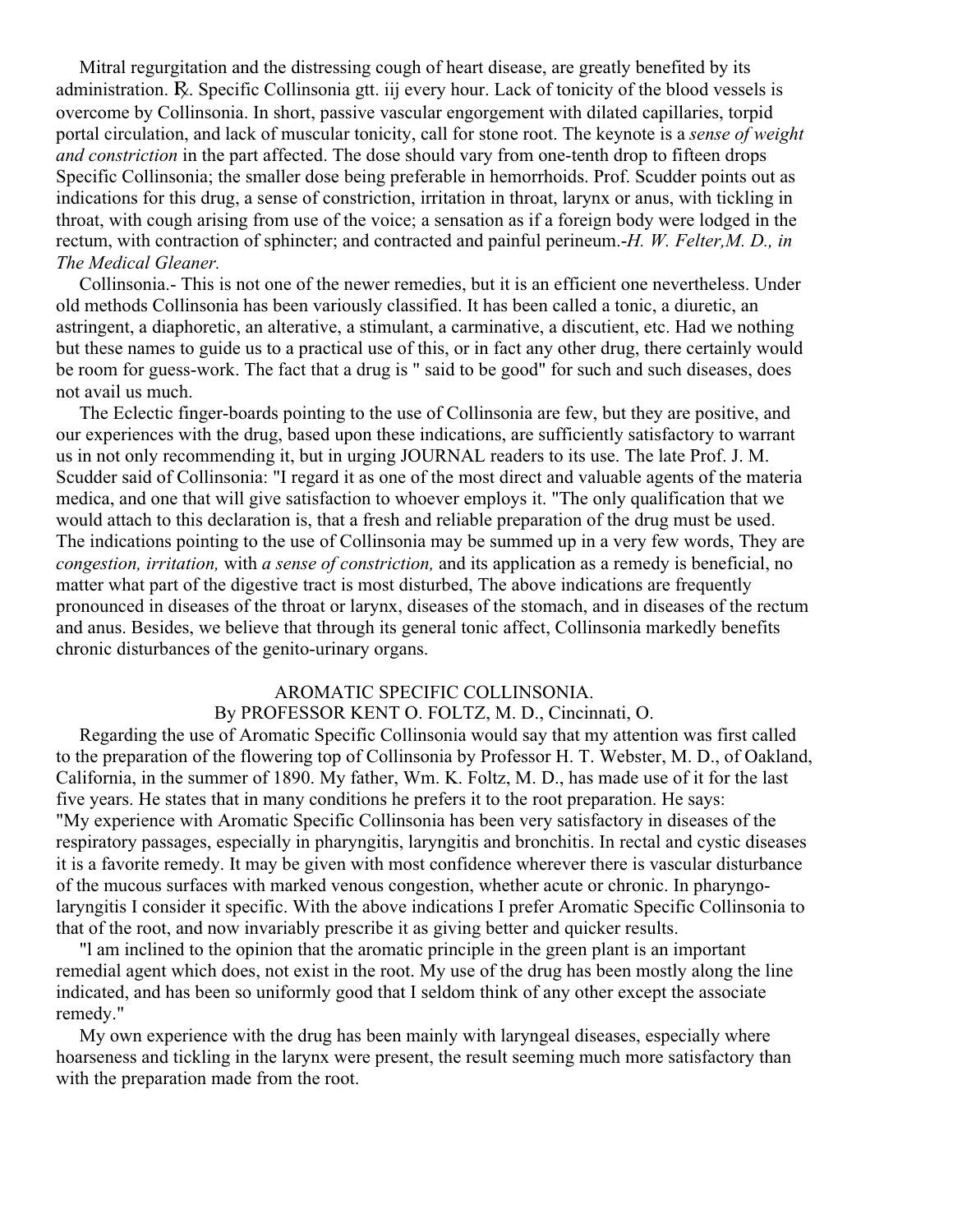Mitral regurgitation and the distressing cough of heart disease, are greatly benefited by its administration. A. Specific Collinsonia gtt. iij every hour. Lack of tonicity of the blood vessels is overcome by Collinsonia. In short, passive vascular engorgement with dilated capillaries, torpid portal circulation, and lack of muscular tonicity, call for stone root. The keynote is a *sense of weight and constriction* in the part affected. The dose should vary from one-tenth drop to fifteen drops Specific Collinsonia; the smaller dose being preferable in hemorrhoids. Prof. Scudder points out as indications for this drug, a sense of constriction, irritation in throat, larynx or anus, with tickling in throat, with cough arising from use of the voice; a sensation as if a foreign body were lodged in the rectum, with contraction of sphincter; and contracted and painful perineum.-*H. W. Felter,M. D., in The Medical Gleaner.*

 Collinsonia.- This is not one of the newer remedies, but it is an efficient one nevertheless. Under old methods Collinsonia has been variously classified. It has been called a tonic, a diuretic, an astringent, a diaphoretic, an alterative, a stimulant, a carminative, a discutient, etc. Had we nothing but these names to guide us to a practical use of this, or in fact any other drug, there certainly would be room for guess-work. The fact that a drug is " said to be good" for such and such diseases, does not avail us much.

 The Eclectic finger-boards pointing to the use of Collinsonia are few, but they are positive, and our experiences with the drug, based upon these indications, are sufficiently satisfactory to warrant us in not only recommending it, but in urging JOURNAL readers to its use. The late Prof. J. M. Scudder said of Collinsonia: "I regard it as one of the most direct and valuable agents of the materia medica, and one that will give satisfaction to whoever employs it. "The only qualification that we would attach to this declaration is, that a fresh and reliable preparation of the drug must be used. The indications pointing to the use of Collinsonia may be summed up in a very few words, They are *congestion, irritation,* with *a sense of constriction,* and its application as a remedy is beneficial, no matter what part of the digestive tract is most disturbed, The above indications are frequently pronounced in diseases of the throat or larynx, diseases of the stomach, and in diseases of the rectum and anus. Besides, we believe that through its general tonic affect, Collinsonia markedly benefits chronic disturbances of the genito-urinary organs.

# AROMATIC SPECIFIC COLLINSONIA.

## By PROFESSOR KENT O. FOLTZ, M. D., Cincinnati, O.

 Regarding the use of Aromatic Specific Collinsonia would say that my attention was first called to the preparation of the flowering top of Collinsonia by Professor H. T. Webster, M. D., of Oakland, California, in the summer of 1890. My father, Wm. K. Foltz, M. D., has made use of it for the last five years. He states that in many conditions he prefers it to the root preparation. He says: "My experience with Aromatic Specific Collinsonia has been very satisfactory in diseases of the respiratory passages, especially in pharyngitis, laryngitis and bronchitis. In rectal and cystic diseases it is a favorite remedy. It may be given with most confidence wherever there is vascular disturbance of the mucous surfaces with marked venous congestion, whether acute or chronic. In pharyngolaryngitis I consider it specific. With the above indications I prefer Aromatic Specific Collinsonia to that of the root, and now invariably prescribe it as giving better and quicker results.

 "l am inclined to the opinion that the aromatic principle in the green plant is an important remedial agent which does, not exist in the root. My use of the drug has been mostly along the line indicated, and has been so uniformly good that I seldom think of any other except the associate remedy."

 My own experience with the drug has been mainly with laryngeal diseases, especially where hoarseness and tickling in the larynx were present, the result seeming much more satisfactory than with the preparation made from the root.